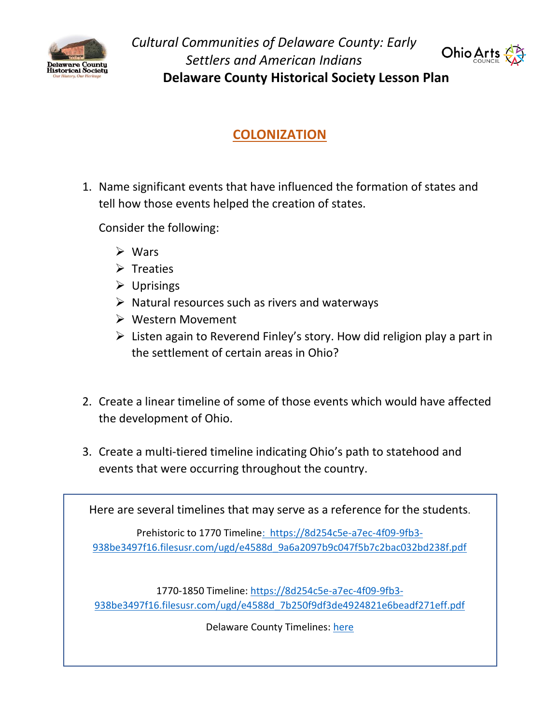

*Cultural Communities of Delaware County: Early Settlers and American Indians* **Delaware County Historical Society Lesson Plan**



## **COLONIZATION**

1. Name significant events that have influenced the formation of states and tell how those events helped the creation of states.

Consider the following:

- ➢ Wars
- ➢ Treaties
- ➢ Uprisings
- ➢ Natural resources such as rivers and waterways
- ➢ Western Movement
- $\triangleright$  Listen again to Reverend Finley's story. How did religion play a part in the settlement of certain areas in Ohio?
- 2. Create a linear timeline of some of those events which would have affected the development of Ohio.
- 3. Create a multi-tiered timeline indicating Ohio's path to statehood and events that were occurring throughout the country.

Here are several timelines that may serve as a reference for the students.

Prehistoric to 1770 Timelin[e: https://8d254c5e-a7ec-4f09-9fb3-](https://8d254c5e-a7ec-4f09-9fb3-938be3497f16.filesusr.com/ugd/e4588d_9a6a2097b9c047f5b7c2bac032bd238f.pdf) [938be3497f16.filesusr.com/ugd/e4588d\\_9a6a2097b9c047f5b7c2bac032bd238f.pdf](https://8d254c5e-a7ec-4f09-9fb3-938be3497f16.filesusr.com/ugd/e4588d_9a6a2097b9c047f5b7c2bac032bd238f.pdf)

1770-1850 Timeline: [https://8d254c5e-a7ec-4f09-9fb3-](https://8d254c5e-a7ec-4f09-9fb3-938be3497f16.filesusr.com/ugd/e4588d_7b250f9df3de4924821e6beadf271eff.pdf) [938be3497f16.filesusr.com/ugd/e4588d\\_7b250f9df3de4924821e6beadf271eff.pdf](https://8d254c5e-a7ec-4f09-9fb3-938be3497f16.filesusr.com/ugd/e4588d_7b250f9df3de4924821e6beadf271eff.pdf)

Delaware County Timelines: [here](https://www.delawareohiovirtualhistory.com/delaware-county-timelines)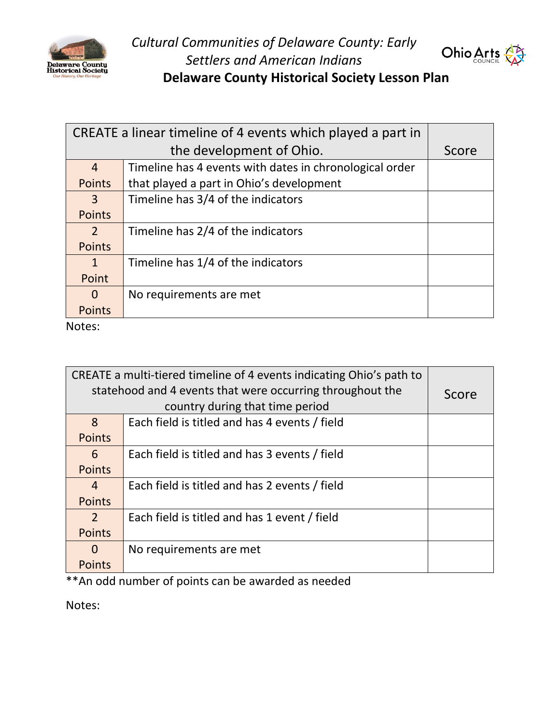



**Delaware County Historical Society Lesson Plan**

| CREATE a linear timeline of 4 events which played a part in |                                                         |  |
|-------------------------------------------------------------|---------------------------------------------------------|--|
|                                                             | Score                                                   |  |
| $\overline{4}$                                              | Timeline has 4 events with dates in chronological order |  |
| Points                                                      | that played a part in Ohio's development                |  |
| 3                                                           | Timeline has 3/4 of the indicators                      |  |
| Points                                                      |                                                         |  |
| $\mathcal{P}$                                               | Timeline has 2/4 of the indicators                      |  |
| <b>Points</b>                                               |                                                         |  |
| $\mathbf 1$                                                 | Timeline has 1/4 of the indicators                      |  |
| Point                                                       |                                                         |  |
| 0                                                           | No requirements are met                                 |  |
| <b>Points</b>                                               |                                                         |  |
| .                                                           |                                                         |  |

Notes:

| CREATE a multi-tiered timeline of 4 events indicating Ohio's path to |                                               |       |
|----------------------------------------------------------------------|-----------------------------------------------|-------|
| statehood and 4 events that were occurring throughout the            |                                               | Score |
| country during that time period                                      |                                               |       |
| 8                                                                    | Each field is titled and has 4 events / field |       |
| <b>Points</b>                                                        |                                               |       |
| 6                                                                    | Each field is titled and has 3 events / field |       |
| <b>Points</b>                                                        |                                               |       |
| 4                                                                    | Each field is titled and has 2 events / field |       |
| <b>Points</b>                                                        |                                               |       |
| 2                                                                    | Each field is titled and has 1 event / field  |       |
| <b>Points</b>                                                        |                                               |       |
| 0                                                                    | No requirements are met                       |       |
| <b>Points</b>                                                        |                                               |       |

\*\*An odd number of points can be awarded as needed

Notes: